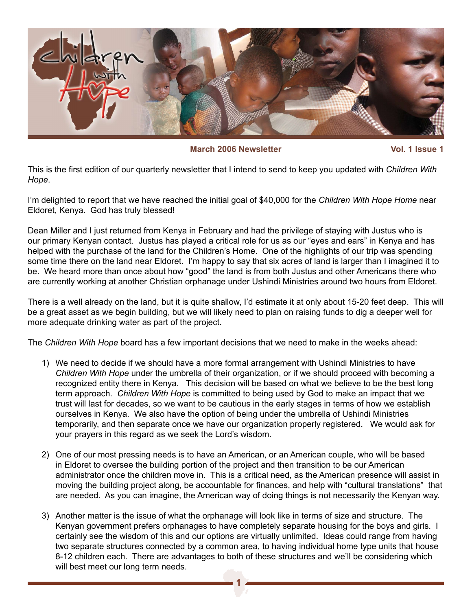

**March** 2006 Newsletter **Vol.** 1 Issue 1

This is the first edition of our quarterly newsletter that I intend to send to keep you updated with *Children With Hope*.

I'm delighted to report that we have reached the initial goal of \$40,000 for the *Children With Hope Home* near Eldoret, Kenya. God has truly blessed!

Dean Miller and I just returned from Kenya in February and had the privilege of staying with Justus who is our primary Kenyan contact. Justus has played a critical role for us as our "eyes and ears" in Kenya and has helped with the purchase of the land for the Children's Home. One of the highlights of our trip was spending some time there on the land near Eldoret. I'm happy to say that six acres of land is larger than I imagined it to be. We heard more than once about how "good" the land is from both Justus and other Americans there who are currently working at another Christian orphanage under Ushindi Ministries around two hours from Eldoret.

There is a well already on the land, but it is quite shallow, I'd estimate it at only about 15-20 feet deep. This will be a great asset as we begin building, but we will likely need to plan on raising funds to dig a deeper well for more adequate drinking water as part of the project.

The *Children With Hope* board has a few important decisions that we need to make in the weeks ahead:

- 1) We need to decide if we should have a more formal arrangement with Ushindi Ministries to have *Children With Hope* under the umbrella of their organization, or if we should proceed with becoming a recognized entity there in Kenya. This decision will be based on what we believe to be the best long term approach. *Children With Hope* is committed to being used by God to make an impact that we trust will last for decades, so we want to be cautious in the early stages in terms of how we establish ourselves in Kenya. We also have the option of being under the umbrella of Ushindi Ministries temporarily, and then separate once we have our organization properly registered. We would ask for your prayers in this regard as we seek the Lord's wisdom.
- 2) One of our most pressing needs is to have an American, or an American couple, who will be based in Eldoret to oversee the building portion of the project and then transition to be our American administrator once the children move in. This is a critical need, as the American presence will assist in moving the building project along, be accountable for finances, and help with "cultural translations" that are needed. As you can imagine, the American way of doing things is not necessarily the Kenyan way.
- 3) Another matter is the issue of what the orphanage will look like in terms of size and structure. The Kenyan government prefers orphanages to have completely separate housing for the boys and girls. I certainly see the wisdom of this and our options are virtually unlimited. Ideas could range from having two separate structures connected by a common area, to having individual home type units that house 8-12 children each. There are advantages to both of these structures and we'll be considering which will best meet our long term needs.